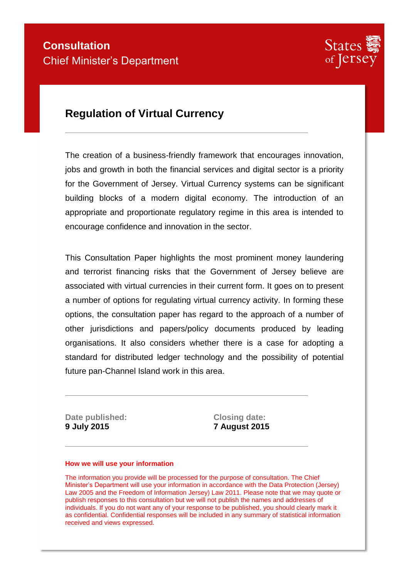

## **Regulation of Virtual Currency**

The creation of a business-friendly framework that encourages innovation, jobs and growth in both the financial services and digital sector is a priority for the Government of Jersey. Virtual Currency systems can be significant building blocks of a modern digital economy. The introduction of an appropriate and proportionate regulatory regime in this area is intended to encourage confidence and innovation in the sector.

This Consultation Paper highlights the most prominent money laundering and terrorist financing risks that the Government of Jersey believe are associated with virtual currencies in their current form. It goes on to present a number of options for regulating virtual currency activity. In forming these options, the consultation paper has regard to the approach of a number of other jurisdictions and papers/policy documents produced by leading organisations. It also considers whether there is a case for adopting a standard for distributed ledger technology and the possibility of potential future pan-Channel Island work in this area.

**Date published:** Closing date: **9 July 2015 7 August 2015** 

#### **How we will use your information**

The information you provide will be processed for the purpose of consultation. The Chief Minister's Department will use your information in accordance with the Data Protection (Jersey) Law 2005 and the Freedom of Information Jersey) Law 2011. Please note that we may quote or publish responses to this consultation but we will not publish the names and addresses of individuals. If you do not want any of your response to be published, you should clearly mark it as confidential. Confidential responses will be included in any summary of statistical information received and views expressed.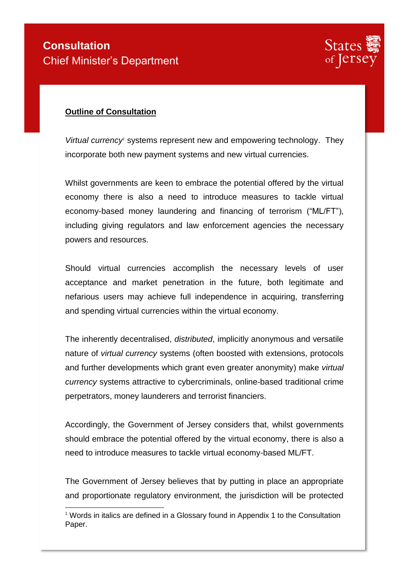

### **Outline of Consultation**

-

*Virtual currency<sup>1</sup>* systems represent new and empowering technology. They incorporate both new payment systems and new virtual currencies.

Whilst governments are keen to embrace the potential offered by the virtual economy there is also a need to introduce measures to tackle virtual economy-based money laundering and financing of terrorism ("ML/FT"), including giving regulators and law enforcement agencies the necessary powers and resources.

Should virtual currencies accomplish the necessary levels of user acceptance and market penetration in the future, both legitimate and nefarious users may achieve full independence in acquiring, transferring and spending virtual currencies within the virtual economy.

The inherently decentralised, *distributed*, implicitly anonymous and versatile nature of *virtual currency* systems (often boosted with extensions, protocols and further developments which grant even greater anonymity) make *virtual currency* systems attractive to cybercriminals, online-based traditional crime perpetrators, money launderers and terrorist financiers.

Accordingly, the Government of Jersey considers that, whilst governments should embrace the potential offered by the virtual economy, there is also a need to introduce measures to tackle virtual economy-based ML/FT.

The Government of Jersey believes that by putting in place an appropriate and proportionate regulatory environment, the jurisdiction will be protected

<sup>&</sup>lt;sup>1</sup> Words in italics are defined in a Glossary found in Appendix 1 to the Consultation Paper.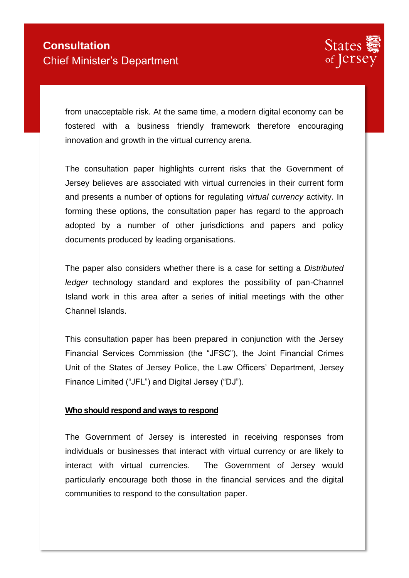

from unacceptable risk. At the same time, a modern digital economy can be fostered with a business friendly framework therefore encouraging innovation and growth in the virtual currency arena.

The consultation paper highlights current risks that the Government of Jersey believes are associated with virtual currencies in their current form and presents a number of options for regulating *virtual currency* activity. In forming these options, the consultation paper has regard to the approach adopted by a number of other jurisdictions and papers and policy documents produced by leading organisations.

The paper also considers whether there is a case for setting a *Distributed ledger* technology standard and explores the possibility of pan-Channel Island work in this area after a series of initial meetings with the other Channel Islands.

This consultation paper has been prepared in conjunction with the Jersey Financial Services Commission (the "JFSC"), the Joint Financial Crimes Unit of the States of Jersey Police, the Law Officers' Department, Jersey Finance Limited ("JFL") and Digital Jersey ("DJ").

#### **Who should respond and ways to respond**

The Government of Jersey is interested in receiving responses from individuals or businesses that interact with virtual currency or are likely to interact with virtual currencies. The Government of Jersey would particularly encourage both those in the financial services and the digital communities to respond to the consultation paper.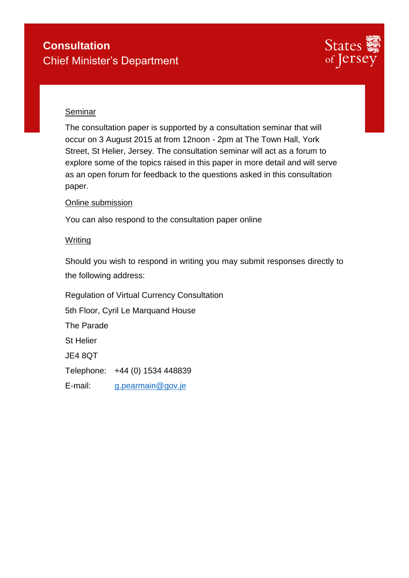

### Seminar

The consultation paper is supported by a consultation seminar that will occur on 3 August 2015 at from 12noon - 2pm at The Town Hall, York Street, St Helier, Jersey. The consultation seminar will act as a forum to explore some of the topics raised in this paper in more detail and will serve as an open forum for feedback to the questions asked in this consultation paper.

### Online submission

You can also respond to the consultation paper online

### **Writing**

Should you wish to respond in writing you may submit responses directly to the following address:

Regulation of Virtual Currency Consultation

5th Floor, Cyril Le Marquand House

The Parade

St Helier

JE4 8QT

Telephone: +44 (0) 1534 448839

E-mail: [g.pearmain@gov.je](mailto:g.pearmain@gov.je)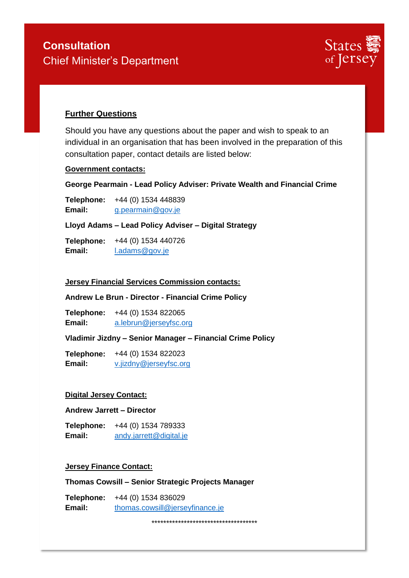

### **Further Questions**

Should you have any questions about the paper and wish to speak to an individual in an organisation that has been involved in the preparation of this consultation paper, contact details are listed below:

#### **Government contacts:**

**George Pearmain - Lead Policy Adviser: Private Wealth and Financial Crime**

**Telephone:** +44 (0) 1534 448839 **Email:** [g.pearmain@gov.je](mailto:g.pearmain@gov.je)

**Lloyd Adams – Lead Policy Adviser – Digital Strategy** 

**Telephone:** +44 (0) 1534 440726 Email: [l.adams@gov.je](mailto:l.adams@gov.je)

#### **Jersey Financial Services Commission contacts:**

#### **Andrew Le Brun - Director - Financial Crime Policy**

**Telephone:** +44 (0) 1534 822065 **Email:** [a.lebrun@jerseyfsc.org](mailto:a.lebrun@jerseyfsc.org)

**Vladimir Jizdny – Senior Manager – Financial Crime Policy** 

**Telephone:** +44 (0) 1534 822023 **Email:** [v.jizdny@jerseyfsc.org](mailto:v.jizdny@jerseyfsc.org)

#### **Digital Jersey Contact:**

#### **Andrew Jarrett – Director**

**Telephone:** +44 (0) 1534 789333 **Email:** [andy.jarrett@digital.je](mailto:andy.jarrett@digital.je)

#### **Jersey Finance Contact:**

**Thomas Cowsill – Senior Strategic Projects Manager**

**Telephone:** +44 (0) 1534 836029 **Email:** [thomas.cowsill@jerseyfinance.je](mailto:thomas.cowsill@jerseyfinance.je)

\*\*\*\*\*\*\*\*\*\*\*\*\*\*\*\*\*\*\*\*\*\*\*\*\*\*\*\*\*\*\*\*\*\*\*\*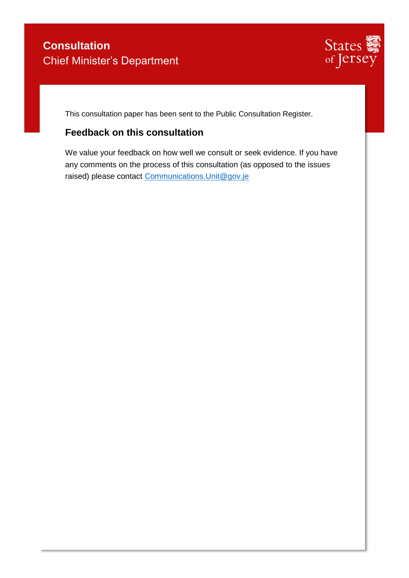

This consultation paper has been sent to the Public Consultation Register.

## **Feedback on this consultation**

We value your feedback on how well we consult or seek evidence. If you have any comments on the process of this consultation (as opposed to the issues raised) please contact [Communications.Unit@gov.je](mailto:Communications.Unit@gov.je)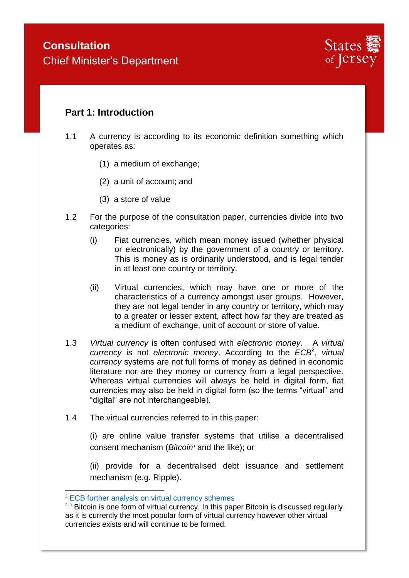

## **Part 1: Introduction**

- 1.1 A currency is according to its economic definition something which operates as:
	- (1) a medium of exchange;
	- (2) a unit of account; and
	- (3) a store of value
- 1.2 For the purpose of the consultation paper, currencies divide into two categories:
	- (i) Fiat currencies, which mean money issued (whether physical or electronically) by the government of a country or territory. This is money as is ordinarily understood, and is legal tender in at least one country or territory.
	- (ii) Virtual currencies, which may have one or more of the characteristics of a currency amongst user groups. However, they are not legal tender in any country or territory, which may to a greater or lesser extent, affect how far they are treated as a medium of exchange, unit of account or store of value.
- 1.3 *Virtual currency* is often confused with *electronic money*. A *virtual*  currency is not *electronic money*. According to the *ECB*<sup>2</sup>, virtual *currency* systems are not full forms of money as defined in economic literature nor are they money or currency from a legal perspective. Whereas virtual currencies will always be held in digital form, fiat currencies may also be held in digital form (so the terms "virtual" and "digital" are not interchangeable).
- 1.4 The virtual currencies referred to in this paper:

(i) are online value transfer systems that utilise a decentralised consent mechanism (*Bitcoin<sup>3</sup>* and the like); or

(ii) provide for a decentralised debt issuance and settlement mechanism (e.g. Ripple).

<sup>2</sup> [ECB further analysis on virtual currency schemes](https://www.ecb.europa.eu/pub/pdf/other/virtualcurrencyschemesen.pdf)

<sup>&</sup>lt;sup>3</sup> 3</sup> Bitcoin is one form of virtual currency. In this paper Bitcoin is discussed regularly as it is currently the most popular form of virtual currency however other virtual currencies exists and will continue to be formed.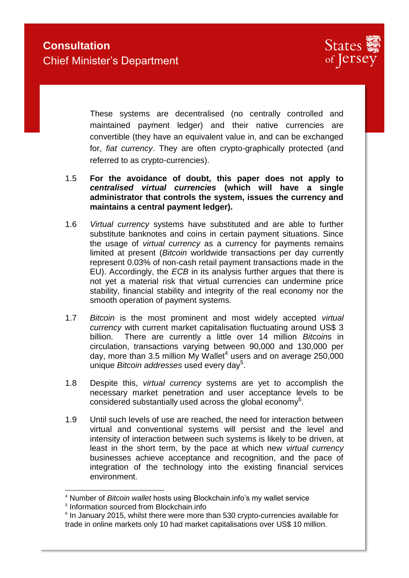

These systems are decentralised (no centrally controlled and maintained payment ledger) and their native currencies are convertible (they have an equivalent value in, and can be exchanged for, *fiat currency*. They are often crypto-graphically protected (and referred to as crypto-currencies).

- 1.5 **For the avoidance of doubt, this paper does not apply to**  *centralised virtual currencies* **(which will have a single administrator that controls the system, issues the currency and maintains a central payment ledger).**
- 1.6 *Virtual currency* systems have substituted and are able to further substitute banknotes and coins in certain payment situations. Since the usage of *virtual currency* as a currency for payments remains limited at present (*Bitcoin* worldwide transactions per day currently represent 0.03% of non-cash retail payment transactions made in the EU). Accordingly, the *ECB* in its analysis further argues that there is not yet a material risk that virtual currencies can undermine price stability, financial stability and integrity of the real economy nor the smooth operation of payment systems.
- 1.7 *Bitcoin* is the most prominent and most widely accepted *virtual currency* with current market capitalisation fluctuating around US\$ 3 billion. There are currently a little over 14 million *Bitcoin*s in circulation, transactions varying between 90,000 and 130,000 per day, more than 3.5 million My Wallet<sup>4</sup> users and on average 250,000 unique *Bitcoin addresses* used every day<sup>5</sup> .
- 1.8 Despite this, *virtual currency* systems are yet to accomplish the necessary market penetration and user acceptance levels to be considered substantially used across the global economy<sup>6</sup>.
- 1.9 Until such levels of use are reached, the need for interaction between virtual and conventional systems will persist and the level and intensity of interaction between such systems is likely to be driven, at least in the short term, by the pace at which new *virtual currency* businesses achieve acceptance and recognition, and the pace of integration of the technology into the existing financial services environment.

<sup>4</sup> Number of *Bitcoin wallet* hosts using Blockchain.info's my wallet service

<sup>5</sup> Information sourced from Blockchain.info

<sup>&</sup>lt;sup>6</sup> In January 2015, whilst there were more than 530 crypto-currencies available for trade in online markets only 10 had market capitalisations over US\$ 10 million.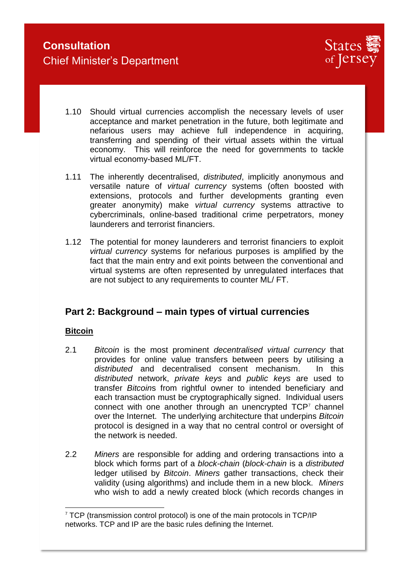

- 1.10 Should virtual currencies accomplish the necessary levels of user acceptance and market penetration in the future, both legitimate and nefarious users may achieve full independence in acquiring, transferring and spending of their virtual assets within the virtual economy. This will reinforce the need for governments to tackle virtual economy-based ML/FT.
- 1.11 The inherently decentralised, *distributed*, implicitly anonymous and versatile nature of *virtual currency* systems (often boosted with extensions, protocols and further developments granting even greater anonymity) make *virtual currency* systems attractive to cybercriminals, online-based traditional crime perpetrators, money launderers and terrorist financiers.
- 1.12 The potential for money launderers and terrorist financiers to exploit *virtual currency* systems for nefarious purposes is amplified by the fact that the main entry and exit points between the conventional and virtual systems are often represented by unregulated interfaces that are not subject to any requirements to counter ML/ FT.

## **Part 2: Background – main types of virtual currencies**

## **Bitcoin**

- 2.1 *Bitcoin* is the most prominent *decentralised virtual currency* that provides for online value transfers between peers by utilising a *distributed* and decentralised consent mechanism. In this *distributed* network, *private keys* and *public keys* are used to transfer *Bitcoin*s from rightful owner to intended beneficiary and each transaction must be cryptographically signed. Individual users connect with one another through an unencrypted  $TCP<sup>7</sup>$  channel over the Internet. The underlying architecture that underpins *Bitcoin* protocol is designed in a way that no central control or oversight of the network is needed.
- 2.2 *Miners* are responsible for adding and ordering transactions into a block which forms part of a *block-chain* (*block-chain* is a *distributed* ledger utilised by *Bitcoin*. *Miners* gather transactions, check their validity (using algorithms) and include them in a new block. *Miners* who wish to add a newly created block (which records changes in

<sup>-</sup><sup>7</sup> TCP (transmission control protocol) is one of the main protocols in TCP/IP networks. TCP and IP are the basic rules defining the Internet.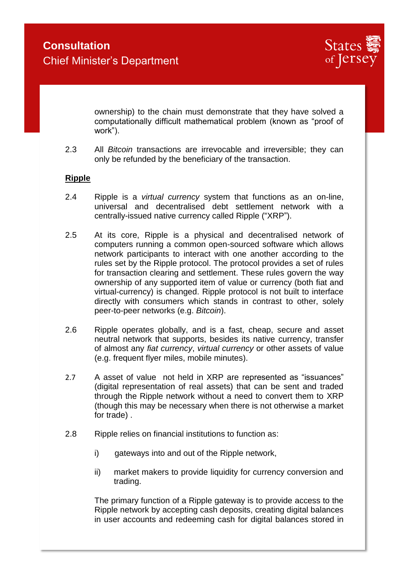

ownership) to the chain must demonstrate that they have solved a computationally difficult mathematical problem (known as "proof of work").

2.3 All *Bitcoin* transactions are irrevocable and irreversible; they can only be refunded by the beneficiary of the transaction.

### **Ripple**

- 2.4 Ripple is a *virtual currency* system that functions as an on-line, universal and decentralised debt settlement network with a centrally-issued native currency called Ripple ("XRP").
- 2.5 At its core, Ripple is a physical and decentralised network of computers running a common open-sourced software which allows network participants to interact with one another according to the rules set by the Ripple protocol. The protocol provides a set of rules for transaction clearing and settlement. These rules govern the way ownership of any supported item of value or currency (both fiat and virtual-currency) is changed. Ripple protocol is not built to interface directly with consumers which stands in contrast to other, solely peer-to-peer networks (e.g. *Bitcoin*).
- 2.6 Ripple operates globally, and is a fast, cheap, secure and asset neutral network that supports, besides its native currency, transfer of almost any *fiat currency*, *virtual currency* or other assets of value (e.g. frequent flyer miles, mobile minutes).
- 2.7 A asset of value not held in XRP are represented as "issuances" (digital representation of real assets) that can be sent and traded through the Ripple network without a need to convert them to XRP (though this may be necessary when there is not otherwise a market for trade) .
- 2.8 Ripple relies on financial institutions to function as:
	- i) gateways into and out of the Ripple network,
	- ii) market makers to provide liquidity for currency conversion and trading.

The primary function of a Ripple gateway is to provide access to the Ripple network by accepting cash deposits, creating digital balances in user accounts and redeeming cash for digital balances stored in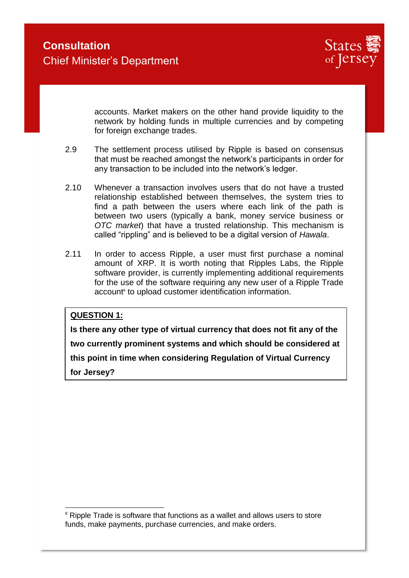

accounts. Market makers on the other hand provide liquidity to the network by holding funds in multiple currencies and by competing for foreign exchange trades.

- 2.9 The settlement process utilised by Ripple is based on consensus that must be reached amongst the network's participants in order for any transaction to be included into the network's ledger.
- 2.10 Whenever a transaction involves users that do not have a trusted relationship established between themselves, the system tries to find a path between the users where each link of the path is between two users (typically a bank, money service business or *OTC market*) that have a trusted relationship. This mechanism is called "rippling" and is believed to be a digital version of *Hawala*.
- 2.11 In order to access Ripple, a user must first purchase a nominal amount of XRP. It is worth noting that Ripples Labs, the Ripple software provider, is currently implementing additional requirements for the use of the software requiring any new user of a Ripple Trade account<sup>®</sup> to upload customer identification information.

### **QUESTION 1:**

-

**Is there any other type of virtual currency that does not fit any of the two currently prominent systems and which should be considered at this point in time when considering Regulation of Virtual Currency for Jersey?** 

<sup>&</sup>lt;sup>8</sup> Ripple Trade is software that functions as a wallet and allows users to store funds, make payments, purchase currencies, and make orders.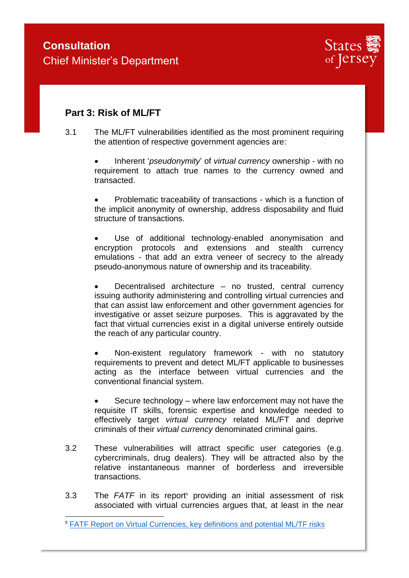

## **Part 3: Risk of ML/FT**

-

3.1 The ML/FT vulnerabilities identified as the most prominent requiring the attention of respective government agencies are:

> Inherent '*pseudonymity*' of *virtual currency* ownership - with no requirement to attach true names to the currency owned and transacted.

> Problematic traceability of transactions - which is a function of the implicit anonymity of ownership, address disposability and fluid structure of transactions.

> Use of additional technology-enabled anonymisation and encryption protocols and extensions and stealth currency emulations - that add an extra veneer of secrecy to the already pseudo-anonymous nature of ownership and its traceability.

> Decentralised architecture – no trusted, central currency issuing authority administering and controlling virtual currencies and that can assist law enforcement and other government agencies for investigative or asset seizure purposes. This is aggravated by the fact that virtual currencies exist in a digital universe entirely outside the reach of any particular country.

> Non-existent regulatory framework - with no statutory requirements to prevent and detect ML/FT applicable to businesses acting as the interface between virtual currencies and the conventional financial system.

> Secure technology – where law enforcement may not have the requisite IT skills, forensic expertise and knowledge needed to effectively target *virtual currency* related ML/FT and deprive criminals of their *virtual currency* denominated criminal gains.

- 3.2 These vulnerabilities will attract specific user categories (e.g. cybercriminals, drug dealers). They will be attracted also by the relative instantaneous manner of borderless and irreversible transactions.
- 3.3 The *FATF* in its report<sup>9</sup> providing an initial assessment of risk associated with virtual currencies argues that, at least in the near

<sup>&</sup>lt;sup>9</sup> [FATF Report on Virtual Currencies, key definitions and potential ML/TF risks](http://www.fatf-gafi.org/media/fatf/documents/reports/virtual-currency-key-definitions-and-potential-aml-cft-risks.pdf)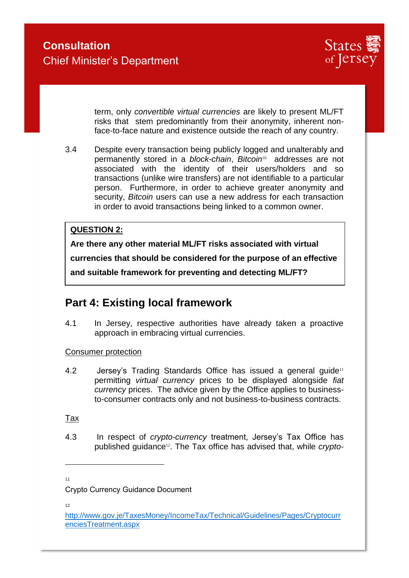

term, only *convertible virtual currencies* are likely to present ML/FT risks that stem predominantly from their anonymity, inherent nonface-to-face nature and existence outside the reach of any country.

3.4 Despite every transaction being publicly logged and unalterably and permanently stored in a *block-chain*, *Bitcoin*10 addresses are not associated with the identity of their users/holders and so transactions (unlike wire transfers) are not identifiable to a particular person. Furthermore, in order to achieve greater anonymity and security, *Bitcoin* users can use a new address for each transaction in order to avoid transactions being linked to a common owner.

### **QUESTION 2:**

**Are there any other material ML/FT risks associated with virtual currencies that should be considered for the purpose of an effective and suitable framework for preventing and detecting ML/FT?**

# **Part 4: Existing local framework**

4.1 In Jersey, respective authorities have already taken a proactive approach in embracing virtual currencies.

### Consumer protection

4.2 Jersey's Trading Standards Office has issued a general guide<sup>11</sup> permitting *virtual currency* prices to be displayed alongside *fiat currency* prices. The advice given by the Office applies to businessto-consumer contracts only and not business-to-business contracts.

Tax

4.3 In respect of *crypto-currency* treatment, Jersey's Tax Office has published guidance<sup>12</sup>. The Tax office has advised that, while *crypto-*

11

12

Crypto Currency Guidance Document

[http://www.gov.je/TaxesMoney/IncomeTax/Technical/Guidelines/Pages/Cryptocurr](http://www.gov.je/TaxesMoney/IncomeTax/Technical/Guidelines/Pages/CryptocurrenciesTreatment.aspx) [enciesTreatment.aspx](http://www.gov.je/TaxesMoney/IncomeTax/Technical/Guidelines/Pages/CryptocurrenciesTreatment.aspx)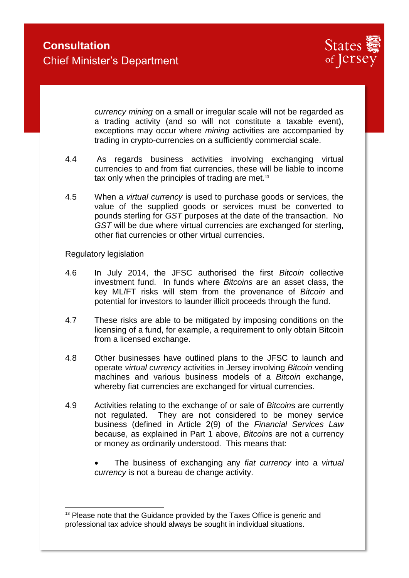

*currency mining* on a small or irregular scale will not be regarded as a trading activity (and so will not constitute a taxable event), exceptions may occur where *mining* activities are accompanied by trading in crypto-currencies on a sufficiently commercial scale.

- 4.4 As regards business activities involving exchanging virtual currencies to and from fiat currencies, these will be liable to income tax only when the principles of trading are met.<sup>13</sup>
- 4.5 When a *virtual currency* is used to purchase goods or services, the value of the supplied goods or services must be converted to pounds sterling for *GST* purposes at the date of the transaction. No *GST* will be due where virtual currencies are exchanged for sterling, other fiat currencies or other virtual currencies.

#### Regulatory legislation

- 4.6 In July 2014, the JFSC authorised the first *Bitcoin* collective investment fund. In funds where *Bitcoins* are an asset class, the key ML/FT risks will stem from the provenance of *Bitcoin* and potential for investors to launder illicit proceeds through the fund.
- 4.7 These risks are able to be mitigated by imposing conditions on the licensing of a fund, for example, a requirement to only obtain Bitcoin from a licensed exchange.
- 4.8 Other businesses have outlined plans to the JFSC to launch and operate *virtual currency* activities in Jersey involving *Bitcoin* vending machines and various business models of a *Bitcoin* exchange, whereby fiat currencies are exchanged for virtual currencies.
- 4.9 Activities relating to the exchange of or sale of *Bitcoin*s are currently not regulated. They are not considered to be money service business (defined in Article 2(9) of the *Financial Services Law* because, as explained in Part 1 above, *Bitcoin*s are not a currency or money as ordinarily understood. This means that:
	- The business of exchanging any *fiat currency* into a *virtual currency* is not a bureau de change activity.

 $13$  Please note that the Guidance provided by the Taxes Office is generic and professional tax advice should always be sought in individual situations.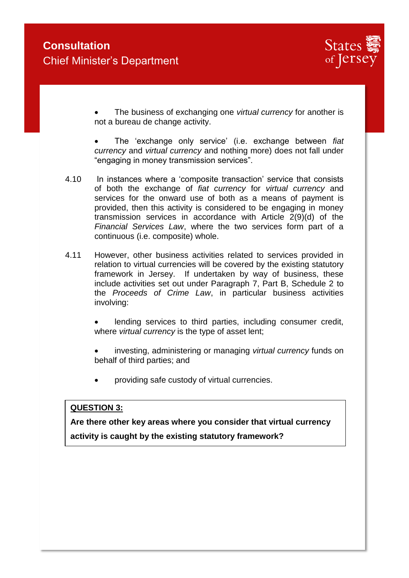

 The business of exchanging one *virtual currency* for another is not a bureau de change activity.

 The 'exchange only service' (i.e. exchange between *fiat currency* and *virtual currency* and nothing more) does not fall under "engaging in money transmission services".

- 4.10 In instances where a 'composite transaction' service that consists of both the exchange of *fiat currency* for *virtual currency* and services for the onward use of both as a means of payment is provided, then this activity is considered to be engaging in money transmission services in accordance with Article 2(9)(d) of the *Financial Services Law*, where the two services form part of a continuous (i.e. composite) whole.
- 4.11 However, other business activities related to services provided in relation to virtual currencies will be covered by the existing statutory framework in Jersey. If undertaken by way of business, these include activities set out under Paragraph 7, Part B, Schedule 2 to the *Proceeds of Crime Law*, in particular business activities involving:

 lending services to third parties, including consumer credit, where *virtual currency* is the type of asset lent;

 investing, administering or managing *virtual currency* funds on behalf of third parties; and

providing safe custody of virtual currencies.

### **QUESTION 3:**

**Are there other key areas where you consider that virtual currency activity is caught by the existing statutory framework?**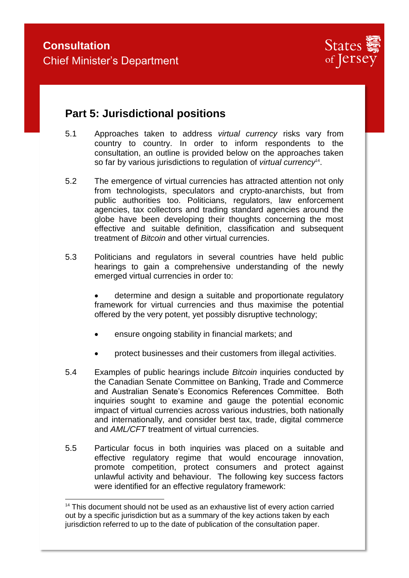-



# **Part 5: Jurisdictional positions**

- 5.1 Approaches taken to address *virtual currency* risks vary from country to country. In order to inform respondents to the consultation, an outline is provided below on the approaches taken so far by various jurisdictions to regulation of *virtual currency*<sup>14</sup>.
- 5.2 The emergence of virtual currencies has attracted attention not only from technologists, speculators and crypto-anarchists, but from public authorities too. Politicians, regulators, law enforcement agencies, tax collectors and trading standard agencies around the globe have been developing their thoughts concerning the most effective and suitable definition, classification and subsequent treatment of *Bitcoin* and other virtual currencies.
- 5.3 Politicians and regulators in several countries have held public hearings to gain a comprehensive understanding of the newly emerged virtual currencies in order to:

 determine and design a suitable and proportionate regulatory framework for virtual currencies and thus maximise the potential offered by the very potent, yet possibly disruptive technology;

- ensure ongoing stability in financial markets; and
- protect businesses and their customers from illegal activities.
- 5.4 Examples of public hearings include *Bitcoin* inquiries conducted by the Canadian Senate Committee on Banking, Trade and Commerce and Australian Senate's Economics References Committee. Both inquiries sought to examine and gauge the potential economic impact of virtual currencies across various industries, both nationally and internationally, and consider best tax, trade, digital commerce and *AML/CFT* treatment of virtual currencies.
- 5.5 Particular focus in both inquiries was placed on a suitable and effective regulatory regime that would encourage innovation, promote competition, protect consumers and protect against unlawful activity and behaviour. The following key success factors were identified for an effective regulatory framework:

 $14$  This document should not be used as an exhaustive list of every action carried out by a specific jurisdiction but as a summary of the key actions taken by each jurisdiction referred to up to the date of publication of the consultation paper.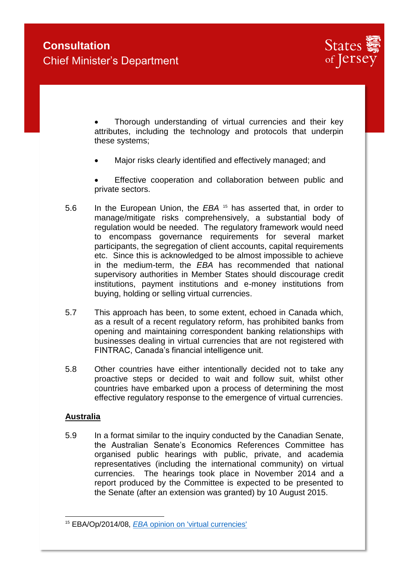

 Thorough understanding of virtual currencies and their key attributes, including the technology and protocols that underpin these systems;

Major risks clearly identified and effectively managed; and

 Effective cooperation and collaboration between public and private sectors.

- 5.6 In the European Union, the *EBA* <sup>15</sup> has asserted that, in order to manage/mitigate risks comprehensively, a substantial body of regulation would be needed. The regulatory framework would need to encompass governance requirements for several market participants, the segregation of client accounts, capital requirements etc. Since this is acknowledged to be almost impossible to achieve in the medium-term, the *EBA* has recommended that national supervisory authorities in Member States should discourage credit institutions, payment institutions and e-money institutions from buying, holding or selling virtual currencies.
- 5.7 This approach has been, to some extent, echoed in Canada which, as a result of a recent regulatory reform, has prohibited banks from opening and maintaining correspondent banking relationships with businesses dealing in virtual currencies that are not registered with FINTRAC, Canada's financial intelligence unit.
- 5.8 Other countries have either intentionally decided not to take any proactive steps or decided to wait and follow suit, whilst other countries have embarked upon a process of determining the most effective regulatory response to the emergence of virtual currencies.

### **Australia**

5.9 In a format similar to the inquiry conducted by the Canadian Senate, the Australian Senate's Economics References Committee has organised public hearings with public, private, and academia representatives (including the international community) on virtual currencies. The hearings took place in November 2014 and a report produced by the Committee is expected to be presented to the Senate (after an extension was granted) by 10 August 2015.

<sup>-</sup><sup>15</sup> EBA/Op/2014/08, *EBA* [opinion on 'virtual currencies'](http://www.eba.europa.eu/documents/10180/657547/EBA-Op-2014-08+Opinion+on+Virtual+Currencies.pdf)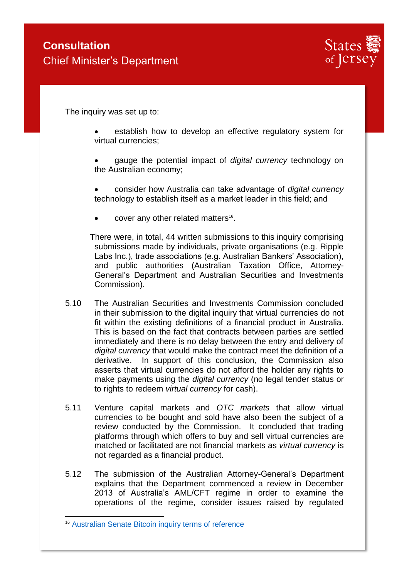

The inquiry was set up to:

- establish how to develop an effective regulatory system for virtual currencies;
- gauge the potential impact of *digital currency* technology on the Australian economy;
- consider how Australia can take advantage of *digital currency* technology to establish itself as a market leader in this field; and
- $\bullet$  cover any other related matters<sup>16</sup>.

There were, in total, 44 written submissions to this inquiry comprising submissions made by individuals, private organisations (e.g. Ripple Labs Inc.), trade associations (e.g. Australian Bankers' Association), and public authorities (Australian Taxation Office, Attorney-General's Department and Australian Securities and Investments Commission).

- 5.10 The Australian Securities and Investments Commission concluded in their submission to the digital inquiry that virtual currencies do not fit within the existing definitions of a financial product in Australia. This is based on the fact that contracts between parties are settled immediately and there is no delay between the entry and delivery of *digital currency* that would make the contract meet the definition of a derivative. In support of this conclusion, the Commission also asserts that virtual currencies do not afford the holder any rights to make payments using the *digital currency* (no legal tender status or to rights to redeem *virtual currency* for cash).
- 5.11 Venture capital markets and *OTC markets* that allow virtual currencies to be bought and sold have also been the subject of a review conducted by the Commission. It concluded that trading platforms through which offers to buy and sell virtual currencies are matched or facilitated are not financial markets as *virtual currency* is not regarded as a financial product.
- 5.12 The submission of the Australian Attorney-General's Department explains that the Department commenced a review in December 2013 of Australia's AML/CFT regime in order to examine the operations of the regime, consider issues raised by regulated

<sup>&</sup>lt;sup>16</sup> [Australian Senate Bitcoin inquiry terms of reference](http://www.aph.gov.au/Parliamentary_Business/Committees/Senate/Economics/Digital_currency/Terms_of_Reference)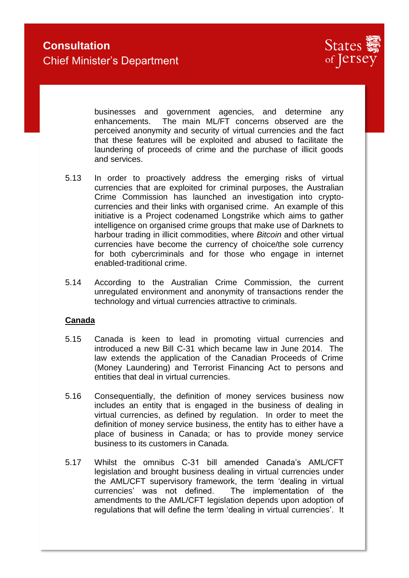

businesses and government agencies, and determine any enhancements. The main ML/FT concerns observed are the perceived anonymity and security of virtual currencies and the fact that these features will be exploited and abused to facilitate the laundering of proceeds of crime and the purchase of illicit goods and services.

- 5.13 In order to proactively address the emerging risks of virtual currencies that are exploited for criminal purposes, the Australian Crime Commission has launched an investigation into cryptocurrencies and their links with organised crime. An example of this initiative is a Project codenamed Longstrike which aims to gather intelligence on organised crime groups that make use of Darknets to harbour trading in illicit commodities, where *Bitcoin* and other virtual currencies have become the currency of choice/the sole currency for both cybercriminals and for those who engage in internet enabled-traditional crime.
- 5.14 According to the Australian Crime Commission, the current unregulated environment and anonymity of transactions render the technology and virtual currencies attractive to criminals.

### **Canada**

- 5.15 Canada is keen to lead in promoting virtual currencies and introduced a new Bill C-31 which became law in June 2014. The law extends the application of the Canadian Proceeds of Crime (Money Laundering) and Terrorist Financing Act to persons and entities that deal in virtual currencies.
- 5.16 Consequentially, the definition of money services business now includes an entity that is engaged in the business of dealing in virtual currencies, as defined by regulation. In order to meet the definition of money service business, the entity has to either have a place of business in Canada; or has to provide money service business to its customers in Canada.
- 5.17 Whilst the omnibus C-31 bill amended Canada's AML/CFT legislation and brought business dealing in virtual currencies under the AML/CFT supervisory framework, the term 'dealing in virtual currencies' was not defined. The implementation of the amendments to the AML/CFT legislation depends upon adoption of regulations that will define the term 'dealing in virtual currencies'. It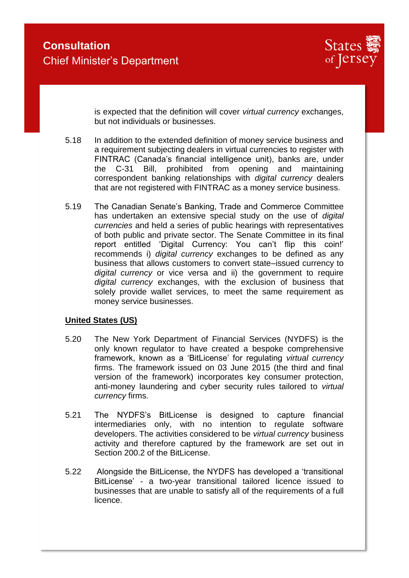

is expected that the definition will cover *virtual currency* exchanges, but not individuals or businesses.

- 5.18 In addition to the extended definition of money service business and a requirement subjecting dealers in virtual currencies to register with FINTRAC (Canada's financial intelligence unit), banks are, under the C-31 Bill, prohibited from opening and maintaining correspondent banking relationships with *digital currency* dealers that are not registered with FINTRAC as a money service business.
- 5.19 The Canadian Senate's Banking, Trade and Commerce Committee has undertaken an extensive special study on the use of *digital currencies* and held a series of public hearings with representatives of both public and private sector. The Senate Committee in its final report entitled 'Digital Currency: You can't flip this coin!' recommends i) *digital currency* exchanges to be defined as any business that allows customers to convert state–issued currency to *digital currency* or vice versa and ii) the government to require *digital currency* exchanges, with the exclusion of business that solely provide wallet services, to meet the same requirement as money service businesses.

### **United States (US)**

- 5.20 The New York Department of Financial Services (NYDFS) is the only known regulator to have created a bespoke comprehensive framework, known as a 'BitLicense' for regulating *virtual currency* firms. The framework issued on 03 June 2015 (the third and final version of the framework) incorporates key consumer protection, anti-money laundering and cyber security rules tailored to *virtual currency* firms.
- 5.21 The NYDFS's BitLicense is designed to capture financial intermediaries only, with no intention to regulate software developers. The activities considered to be *virtual currency* business activity and therefore captured by the framework are set out in Section 200.2 of the BitLicense.
- 5.22 Alongside the BitLicense, the NYDFS has developed a 'transitional BitLicense' - a two-year transitional tailored licence issued to businesses that are unable to satisfy all of the requirements of a full licence.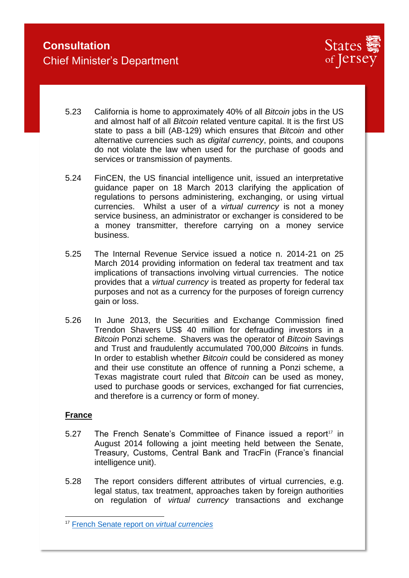

- 5.23 California is home to approximately 40% of all *Bitcoin* jobs in the US and almost half of all *Bitcoin* related venture capital. It is the first US state to pass a bill (AB-129) which ensures that *Bitcoin* and other alternative currencies such as *digital currency*, points, and coupons do not violate the law when used for the purchase of goods and services or transmission of payments.
- 5.24 FinCEN, the US financial intelligence unit, issued an interpretative guidance paper on 18 March 2013 clarifying the application of regulations to persons administering, exchanging, or using virtual currencies. Whilst a user of a *virtual currency* is not a money service business, an administrator or exchanger is considered to be a money transmitter, therefore carrying on a money service business.
- 5.25 The Internal Revenue Service issued a notice n. 2014-21 on 25 March 2014 providing information on federal tax treatment and tax implications of transactions involving virtual currencies. The notice provides that a *virtual currency* is treated as property for federal tax purposes and not as a currency for the purposes of foreign currency gain or loss.
- 5.26 In June 2013, the Securities and Exchange Commission fined Trendon Shavers US\$ 40 million for defrauding investors in a *Bitcoin* Ponzi scheme. Shavers was the operator of *Bitcoin* Savings and Trust and fraudulently accumulated 700,000 *Bitcoin*s in funds. In order to establish whether *Bitcoin* could be considered as money and their use constitute an offence of running a Ponzi scheme, a Texas magistrate court ruled that *Bitcoin* can be used as money, used to purchase goods or services, exchanged for fiat currencies, and therefore is a currency or form of money.

### **France**

- $5.27$  The French Senate's Committee of Finance issued a report<sup>17</sup> in August 2014 following a joint meeting held between the Senate, Treasury, Customs, Central Bank and TracFin (France's financial intelligence unit).
- 5.28 The report considers different attributes of virtual currencies, e.g. legal status, tax treatment, approaches taken by foreign authorities on regulation of *virtual currency* transactions and exchange

<sup>17</sup> [French Senate report on](http://www.senat.fr/rap/r13-767/r13-767-syn-en.pdf) *virtual currencies*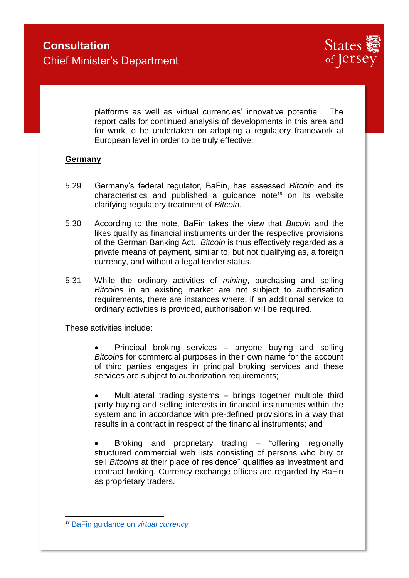

platforms as well as virtual currencies' innovative potential. The report calls for continued analysis of developments in this area and for work to be undertaken on adopting a regulatory framework at European level in order to be truly effective.

### **Germany**

- 5.29 Germany's federal regulator, BaFin, has assessed *Bitcoin* and its characteristics and published a quidance note<sup>18</sup> on its website clarifying regulatory treatment of *Bitcoin*.
- 5.30 According to the note, BaFin takes the view that *Bitcoin* and the likes qualify as financial instruments under the respective provisions of the German Banking Act. *Bitcoin* is thus effectively regarded as a private means of payment, similar to, but not qualifying as, a foreign currency, and without a legal tender status.
- 5.31 While the ordinary activities of *mining*, purchasing and selling *Bitcoin*s in an existing market are not subject to authorisation requirements, there are instances where, if an additional service to ordinary activities is provided, authorisation will be required.

These activities include:

• Principal broking services – anyone buying and selling *Bitcoin*s for commercial purposes in their own name for the account of third parties engages in principal broking services and these services are subject to authorization requirements;

 Multilateral trading systems – brings together multiple third party buying and selling interests in financial instruments within the system and in accordance with pre-defined provisions in a way that results in a contract in respect of the financial instruments; and

 Broking and proprietary trading – "offering regionally structured commercial web lists consisting of persons who buy or sell *Bitcoin*s at their place of residence" qualifies as investment and contract broking. Currency exchange offices are regarded by BaFin as proprietary traders.

<sup>18</sup> [BaFin guidance on](http://www.bafin.de/SharedDocs/Veroeffentlichungen/EN/Fachartikel/2014/fa_bj_1401_bitcoins_en.html?nn=3698804) *virtual currency*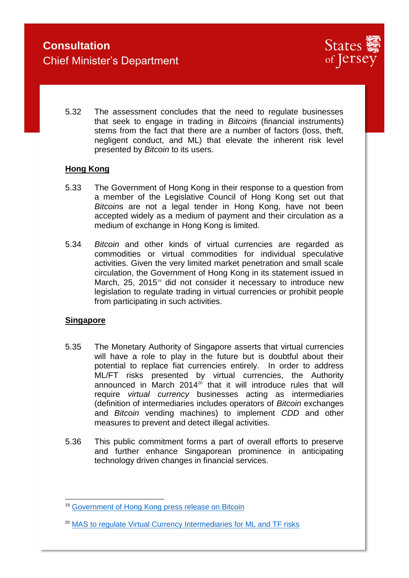

5.32 The assessment concludes that the need to regulate businesses that seek to engage in trading in *Bitcoin*s (financial instruments) stems from the fact that there are a number of factors (loss, theft, negligent conduct, and ML) that elevate the inherent risk level presented by *Bitcoin* to its users.

### **Hong Kong**

- 5.33 The Government of Hong Kong in their response to a question from a member of the Legislative Council of Hong Kong set out that *Bitcoin*s are not a legal tender in Hong Kong, have not been accepted widely as a medium of payment and their circulation as a medium of exchange in Hong Kong is limited.
- 5.34 *Bitcoin* and other kinds of virtual currencies are regarded as commodities or virtual commodities for individual speculative activities. Given the very limited market penetration and small scale circulation, the Government of Hong Kong in its statement issued in March, 25, 2015<sup>19</sup> did not consider it necessary to introduce new legislation to regulate trading in virtual currencies or prohibit people from participating in such activities.

### **Singapore**

- 5.35 The Monetary Authority of Singapore asserts that virtual currencies will have a role to play in the future but is doubtful about their potential to replace fiat currencies entirely. In order to address ML/FT risks presented by virtual currencies, the Authority announced in March 2014 $20$ <sup>20</sup> that it will introduce rules that will require *virtual currency* businesses acting as intermediaries (definition of intermediaries includes operators of *Bitcoin* exchanges and *Bitcoin* vending machines) to implement *CDD* and other measures to prevent and detect illegal activities.
- 5.36 This public commitment forms a part of overall efforts to preserve and further enhance Singaporean prominence in anticipating technology driven changes in financial services.

<sup>&</sup>lt;sup>19</sup> [Government of Hong Kong press release on Bitcoin](http://www.info.gov.hk/gia/general/201503/25/P201503250463.htm)

<sup>&</sup>lt;sup>20</sup> [MAS to regulate Virtual Currency Intermediaries for ML and TF risks](http://www.mas.gov.sg/news-and-publications/media-releases/2014/mas-to-regulate-virtual-currency-intermediaries-for-money-laundering-and-terrorist-financing-risks.aspx)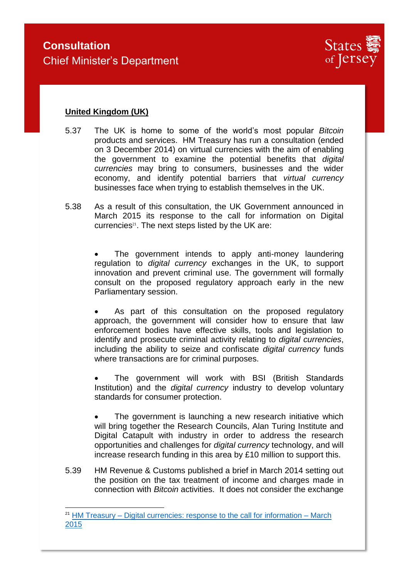

## **United Kingdom (UK)**

-

- 5.37 The UK is home to some of the world's most popular *Bitcoin* products and services. HM Treasury has run a consultation (ended on 3 December 2014) on virtual currencies with the aim of enabling the government to examine the potential benefits that *digital currencies* may bring to consumers, businesses and the wider economy, and identify potential barriers that *virtual currency* businesses face when trying to establish themselves in the UK.
- 5.38 As a result of this consultation, the UK Government announced in March 2015 its response to the call for information on Digital currencies $21$ . The next steps listed by the UK are:

 The government intends to apply anti-money laundering regulation to *digital currency* exchanges in the UK, to support innovation and prevent criminal use. The government will formally consult on the proposed regulatory approach early in the new Parliamentary session.

 As part of this consultation on the proposed regulatory approach, the government will consider how to ensure that law enforcement bodies have effective skills, tools and legislation to identify and prosecute criminal activity relating to *digital currencies*, including the ability to seize and confiscate *digital currency* funds where transactions are for criminal purposes.

 The government will work with BSI (British Standards Institution) and the *digital currency* industry to develop voluntary standards for consumer protection.

 The government is launching a new research initiative which will bring together the Research Councils, Alan Turing Institute and Digital Catapult with industry in order to address the research opportunities and challenges for *digital currency* technology, and will increase research funding in this area by £10 million to support this.

5.39 HM Revenue & Customs published a brief in March 2014 setting out the position on the tax treatment of income and charges made in connection with *Bitcoin* activities. It does not consider the exchange

 $21$  HM Treasury – [Digital currencies: response to the call for information –](https://www.gov.uk/government/uploads/system/uploads/attachment_data/file/414040/digital_currencies_response_to_call_for_information_final_changes.pdf) March [2015](https://www.gov.uk/government/uploads/system/uploads/attachment_data/file/414040/digital_currencies_response_to_call_for_information_final_changes.pdf)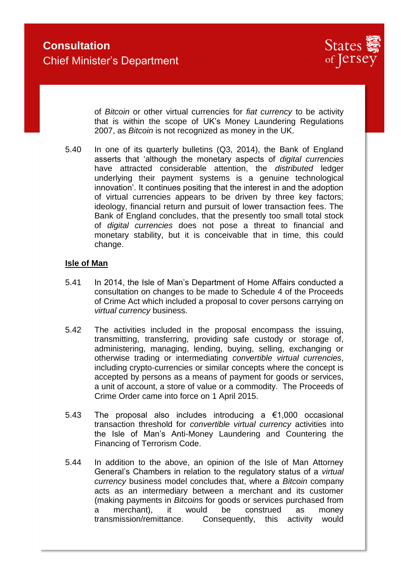

of *Bitcoin* or other virtual currencies for *fiat currency* to be activity that is within the scope of UK's Money Laundering Regulations 2007, as *Bitcoin* is not recognized as money in the UK.

5.40 In one of its quarterly bulletins (Q3, 2014), the Bank of England asserts that 'although the monetary aspects of *digital currencies* have attracted considerable attention, the *distributed* ledger underlying their payment systems is a genuine technological innovation'. It continues positing that the interest in and the adoption of virtual currencies appears to be driven by three key factors; ideology, financial return and pursuit of lower transaction fees. The Bank of England concludes, that the presently too small total stock of *digital currencies* does not pose a threat to financial and monetary stability, but it is conceivable that in time, this could change.

### **Isle of Man**

- 5.41 In 2014, the Isle of Man's Department of Home Affairs conducted a consultation on changes to be made to Schedule 4 of the Proceeds of Crime Act which included a proposal to cover persons carrying on *virtual currency* business.
- 5.42 The activities included in the proposal encompass the issuing, transmitting, transferring, providing safe custody or storage of, administering, managing, lending, buying, selling, exchanging or otherwise trading or intermediating *convertible virtual currencies*, including crypto-currencies or similar concepts where the concept is accepted by persons as a means of payment for goods or services, a unit of account, a store of value or a commodity. The Proceeds of Crime Order came into force on 1 April 2015.
- 5.43 The proposal also includes introducing a €1,000 occasional transaction threshold for *convertible virtual currency* activities into the Isle of Man's Anti-Money Laundering and Countering the Financing of Terrorism Code.
- 5.44 In addition to the above, an opinion of the Isle of Man Attorney General's Chambers in relation to the regulatory status of a *virtual currency* business model concludes that, where a *Bitcoin* company acts as an intermediary between a merchant and its customer (making payments in *Bitcoin*s for goods or services purchased from a merchant), it would be construed as money transmission/remittance. Consequently, this activity would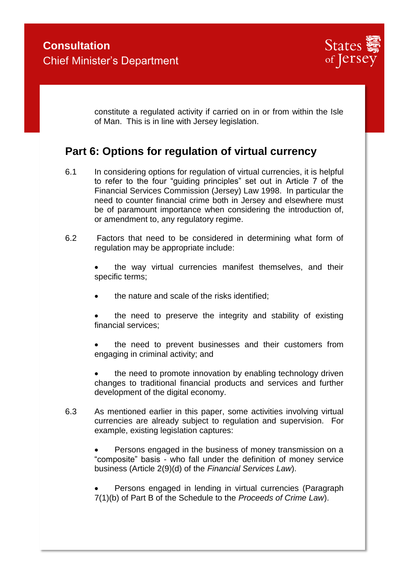

constitute a regulated activity if carried on in or from within the Isle of Man. This is in line with Jersey legislation.

# **Part 6: Options for regulation of virtual currency**

- 6.1 In considering options for regulation of virtual currencies, it is helpful to refer to the four "guiding principles" set out in Article 7 of the Financial Services Commission (Jersey) Law 1998. In particular the need to counter financial crime both in Jersey and elsewhere must be of paramount importance when considering the introduction of, or amendment to, any regulatory regime.
- 6.2 Factors that need to be considered in determining what form of regulation may be appropriate include:

 the way virtual currencies manifest themselves, and their specific terms;

- the nature and scale of the risks identified;
- the need to preserve the integrity and stability of existing financial services;
- the need to prevent businesses and their customers from engaging in criminal activity; and
- the need to promote innovation by enabling technology driven changes to traditional financial products and services and further development of the digital economy.
- 6.3 As mentioned earlier in this paper, some activities involving virtual currencies are already subject to regulation and supervision. For example, existing legislation captures:

 Persons engaged in the business of money transmission on a "composite" basis - who fall under the definition of money service business (Article 2(9)(d) of the *Financial Services Law*).

 Persons engaged in lending in virtual currencies (Paragraph 7(1)(b) of Part B of the Schedule to the *Proceeds of Crime Law*).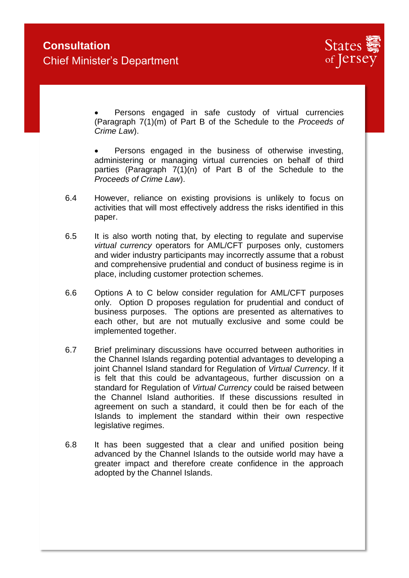

 Persons engaged in safe custody of virtual currencies (Paragraph 7(1)(m) of Part B of the Schedule to the *Proceeds of Crime Law*).

 Persons engaged in the business of otherwise investing, administering or managing virtual currencies on behalf of third parties (Paragraph 7(1)(n) of Part B of the Schedule to the *Proceeds of Crime Law*).

- 6.4 However, reliance on existing provisions is unlikely to focus on activities that will most effectively address the risks identified in this paper.
- 6.5 It is also worth noting that, by electing to regulate and supervise *virtual currency* operators for AML/CFT purposes only, customers and wider industry participants may incorrectly assume that a robust and comprehensive prudential and conduct of business regime is in place, including customer protection schemes.
- 6.6 Options A to C below consider regulation for AML/CFT purposes only. Option D proposes regulation for prudential and conduct of business purposes. The options are presented as alternatives to each other, but are not mutually exclusive and some could be implemented together.
- 6.7 Brief preliminary discussions have occurred between authorities in the Channel Islands regarding potential advantages to developing a joint Channel Island standard for Regulation of *Virtual Currency*. If it is felt that this could be advantageous, further discussion on a standard for Regulation of *Virtual Currency* could be raised between the Channel Island authorities. If these discussions resulted in agreement on such a standard, it could then be for each of the Islands to implement the standard within their own respective legislative regimes.
- 6.8 It has been suggested that a clear and unified position being advanced by the Channel Islands to the outside world may have a greater impact and therefore create confidence in the approach adopted by the Channel Islands.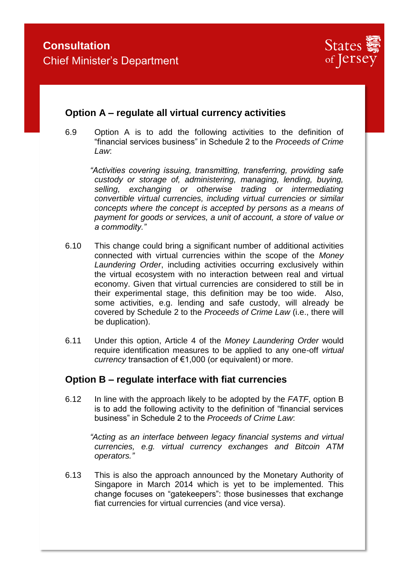

## **Option A – regulate all virtual currency activities**

6.9 Option A is to add the following activities to the definition of "financial services business" in Schedule 2 to the *Proceeds of Crime Law*:

*"Activities covering issuing, transmitting, transferring, providing safe custody or storage of, administering, managing, lending, buying, selling, exchanging or otherwise trading or intermediating convertible virtual currencies, including virtual currencies or similar concepts where the concept is accepted by persons as a means of payment for goods or services, a unit of account, a store of value or a commodity."*

- 6.10 This change could bring a significant number of additional activities connected with virtual currencies within the scope of the *Money Laundering Order*, including activities occurring exclusively within the virtual ecosystem with no interaction between real and virtual economy. Given that virtual currencies are considered to still be in their experimental stage, this definition may be too wide. Also, some activities, e.g. lending and safe custody, will already be covered by Schedule 2 to the *Proceeds of Crime Law* (i.e., there will be duplication).
- 6.11 Under this option, Article 4 of the *Money Laundering Order* would require identification measures to be applied to any one-off *virtual currency* transaction of €1,000 (or equivalent) or more.

## **Option B – regulate interface with fiat currencies**

6.12 In line with the approach likely to be adopted by the *FATF*, option B is to add the following activity to the definition of "financial services business" in Schedule 2 to the *Proceeds of Crime Law*:

*"Acting as an interface between legacy financial systems and virtual currencies, e.g. virtual currency exchanges and Bitcoin ATM operators."*

6.13 This is also the approach announced by the Monetary Authority of Singapore in March 2014 which is yet to be implemented. This change focuses on "gatekeepers": those businesses that exchange fiat currencies for virtual currencies (and vice versa).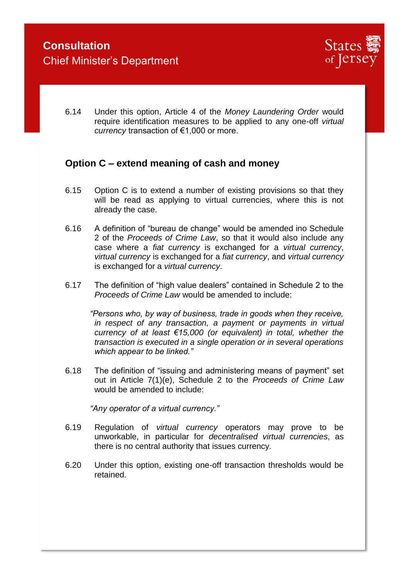

6.14 Under this option, Article 4 of the *Money Laundering Order* would require identification measures to be applied to any one-off *virtual currency* transaction of €1,000 or more.

## **Option C – extend meaning of cash and money**

- 6.15 Option C is to extend a number of existing provisions so that they will be read as applying to virtual currencies, where this is not already the case.
- 6.16 A definition of "bureau de change" would be amended ino Schedule 2 of the *Proceeds of Crime Law*, so that it would also include any case where a *fiat currency* is exchanged for a *virtual currency*, *virtual currency* is exchanged for a *fiat currency*, and *virtual currency* is exchanged for a *virtual currency*.
- 6.17 The definition of "high value dealers" contained in Schedule 2 to the *Proceeds of Crime Law* would be amended to include:

*"Persons who, by way of business, trade in goods when they receive, in respect of any transaction, a payment or payments in virtual currency of at least €15,000 (or equivalent) in total, whether the transaction is executed in a single operation or in several operations which appear to be linked."*

6.18 The definition of "issuing and administering means of payment" set out in Article 7(1)(e), Schedule 2 to the *Proceeds of Crime Law* would be amended to include:

*"Any operator of a virtual currency."* 

- 6.19 Regulation of *virtual currency* operators may prove to be unworkable, in particular for *decentralised virtual currencies*, as there is no central authority that issues currency.
- 6.20 Under this option, existing one-off transaction thresholds would be retained.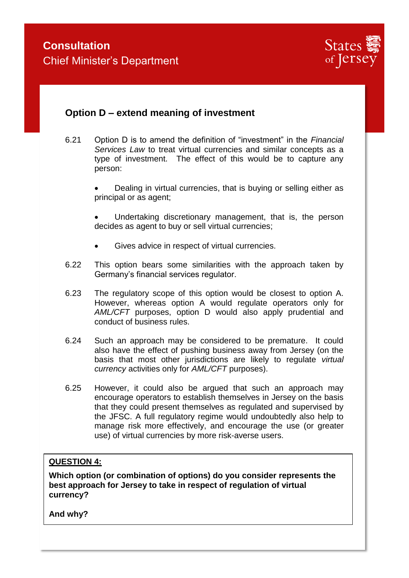

## **Option D – extend meaning of investment**

6.21 Option D is to amend the definition of "investment" in the *Financial Services Law* to treat virtual currencies and similar concepts as a type of investment. The effect of this would be to capture any person:

> Dealing in virtual currencies, that is buying or selling either as principal or as agent;

> Undertaking discretionary management, that is, the person decides as agent to buy or sell virtual currencies;

- Gives advice in respect of virtual currencies.
- 6.22 This option bears some similarities with the approach taken by Germany's financial services regulator.
- 6.23 The regulatory scope of this option would be closest to option A. However, whereas option A would regulate operators only for *AML/CFT* purposes, option D would also apply prudential and conduct of business rules.
- 6.24 Such an approach may be considered to be premature. It could also have the effect of pushing business away from Jersey (on the basis that most other jurisdictions are likely to regulate *virtual currency* activities only for *AML/CFT* purposes).
- 6.25 However, it could also be argued that such an approach may encourage operators to establish themselves in Jersey on the basis that they could present themselves as regulated and supervised by the JFSC. A full regulatory regime would undoubtedly also help to manage risk more effectively, and encourage the use (or greater use) of virtual currencies by more risk-averse users.

### **QUESTION 4:**

**Which option (or combination of options) do you consider represents the best approach for Jersey to take in respect of regulation of virtual currency?**

**And why?**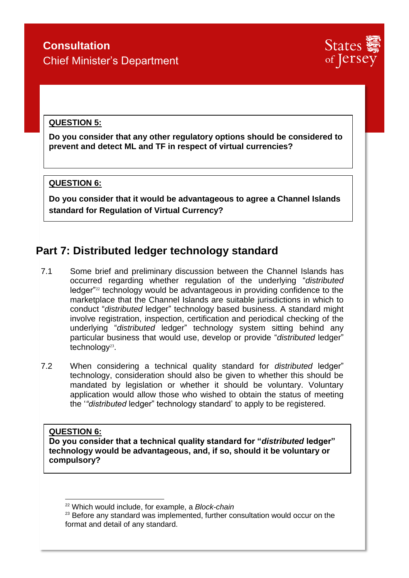

## **QUESTION 5:**

**Do you consider that any other regulatory options should be considered to prevent and detect ML and TF in respect of virtual currencies?**

### **QUESTION 6:**

-

**Do you consider that it would be advantageous to agree a Channel Islands standard for Regulation of Virtual Currency?**

## **Part 7: Distributed ledger technology standard**

- 7.1 Some brief and preliminary discussion between the Channel Islands has occurred regarding whether regulation of the underlying "*distributed* ledger<sup>"22</sup> technology would be advantageous in providing confidence to the marketplace that the Channel Islands are suitable jurisdictions in which to conduct "*distributed* ledger" technology based business. A standard might involve registration, inspection, certification and periodical checking of the underlying "*distributed* ledger" technology system sitting behind any particular business that would use, develop or provide "*distributed* ledger" technology<sup>23</sup>.
- 7.2 When considering a technical quality standard for *distributed* ledger" technology, consideration should also be given to whether this should be mandated by legislation or whether it should be voluntary. Voluntary application would allow those who wished to obtain the status of meeting the '*"distributed* ledger" technology standard' to apply to be registered.

### **QUESTION 6: Do you consider that a technical quality standard for "***distributed* **ledger" technology would be advantageous, and, if so, should it be voluntary or compulsory?**

<sup>22</sup> Which would include, for example, a *Block-chain*

 $23$  Before any standard was implemented, further consultation would occur on the format and detail of any standard.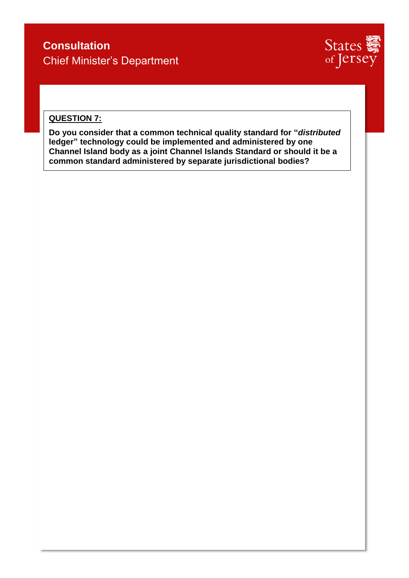

## **QUESTION 7:**

**Do you consider that a common technical quality standard for "***distributed* **ledger" technology could be implemented and administered by one Channel Island body as a joint Channel Islands Standard or should it be a common standard administered by separate jurisdictional bodies?**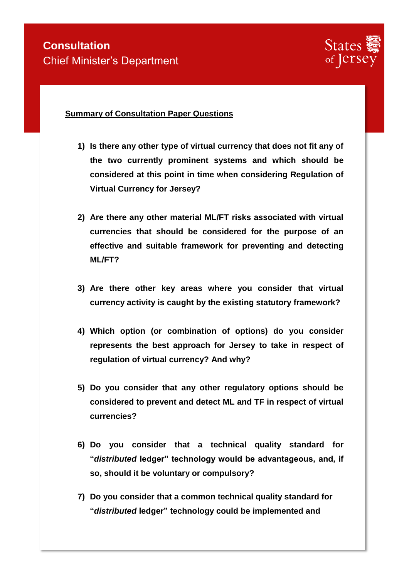

### **Summary of Consultation Paper Questions**

- **1) Is there any other type of virtual currency that does not fit any of the two currently prominent systems and which should be considered at this point in time when considering Regulation of Virtual Currency for Jersey?**
- **2) Are there any other material ML/FT risks associated with virtual currencies that should be considered for the purpose of an effective and suitable framework for preventing and detecting ML/FT?**
- **3) Are there other key areas where you consider that virtual currency activity is caught by the existing statutory framework?**
- **4) Which option (or combination of options) do you consider represents the best approach for Jersey to take in respect of regulation of virtual currency? And why?**
- **5) Do you consider that any other regulatory options should be considered to prevent and detect ML and TF in respect of virtual currencies?**
- **6) Do you consider that a technical quality standard for "***distributed* **ledger" technology would be advantageous, and, if so, should it be voluntary or compulsory?**
- **7) Do you consider that a common technical quality standard for "***distributed* **ledger" technology could be implemented and**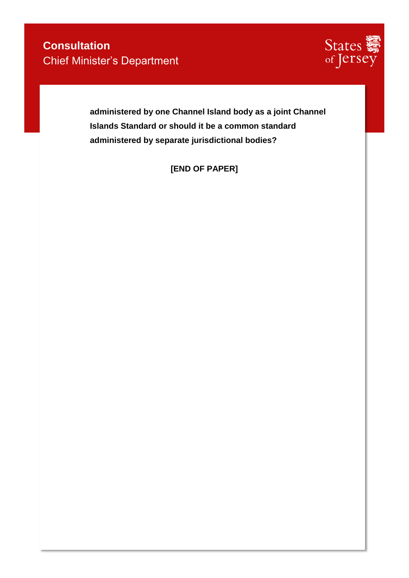

**administered by one Channel Island body as a joint Channel Islands Standard or should it be a common standard administered by separate jurisdictional bodies?**

**[END OF PAPER]**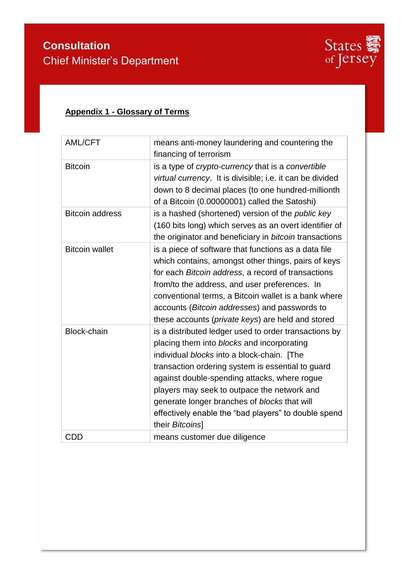

# **Appendix 1 - Glossary of Terms**

| AML/CFT                | means anti-money laundering and countering the<br>financing of terrorism                                                                                                                                                                                                                                                                                                                                                         |
|------------------------|----------------------------------------------------------------------------------------------------------------------------------------------------------------------------------------------------------------------------------------------------------------------------------------------------------------------------------------------------------------------------------------------------------------------------------|
| <b>Bitcoin</b>         | is a type of <i>crypto-currency</i> that is a <i>convertible</i><br>virtual currency. It is divisible; i.e. it can be divided<br>down to 8 decimal places (to one hundred-millionth<br>of a Bitcoin (0.00000001) called the Satoshi)                                                                                                                                                                                             |
| <b>Bitcoin address</b> | is a hashed (shortened) version of the <i>public key</i><br>(160 bits long) which serves as an overt identifier of<br>the originator and beneficiary in bitcoin transactions                                                                                                                                                                                                                                                     |
| <b>Bitcoin wallet</b>  | is a piece of software that functions as a data file<br>which contains, amongst other things, pairs of keys<br>for each Bitcoin address, a record of transactions<br>from/to the address, and user preferences. In<br>conventional terms, a Bitcoin wallet is a bank where<br>accounts (Bitcoin addresses) and passwords to<br>these accounts (private keys) are held and stored                                                 |
| <b>Block-chain</b>     | is a distributed ledger used to order transactions by<br>placing them into blocks and incorporating<br>individual blocks into a block-chain. [The<br>transaction ordering system is essential to guard<br>against double-spending attacks, where rogue<br>players may seek to outpace the network and<br>generate longer branches of blocks that will<br>effectively enable the "bad players" to double spend<br>their Bitcoins] |
| <b>CDD</b>             | means customer due diligence                                                                                                                                                                                                                                                                                                                                                                                                     |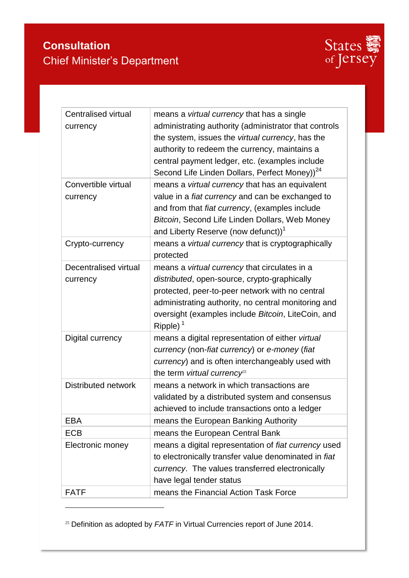

| <b>Centralised virtual</b><br>currency | means a <i>virtual currency</i> that has a single<br>administrating authority (administrator that controls<br>the system, issues the virtual currency, has the<br>authority to redeem the currency, maintains a<br>central payment ledger, etc. (examples include<br>Second Life Linden Dollars, Perfect Money)) <sup>24</sup> |
|----------------------------------------|--------------------------------------------------------------------------------------------------------------------------------------------------------------------------------------------------------------------------------------------------------------------------------------------------------------------------------|
| Convertible virtual<br>currency        | means a virtual currency that has an equivalent<br>value in a fiat currency and can be exchanged to<br>and from that fiat currency, (examples include<br>Bitcoin, Second Life Linden Dollars, Web Money<br>and Liberty Reserve (now defunct)) <sup>1</sup>                                                                     |
| Crypto-currency                        | means a <i>virtual currency</i> that is cryptographically<br>protected                                                                                                                                                                                                                                                         |
| Decentralised virtual<br>currency      | means a <i>virtual currency</i> that circulates in a<br>distributed, open-source, crypto-graphically<br>protected, peer-to-peer network with no central<br>administrating authority, no central monitoring and<br>oversight (examples include Bitcoin, LiteCoin, and<br>Ripple) $1$                                            |
| Digital currency                       | means a digital representation of either virtual<br>currency (non-fiat currency) or e-money (fiat<br>currency) and is often interchangeably used with<br>the term virtual currency <sup>25</sup>                                                                                                                               |
| <b>Distributed network</b>             | means a network in which transactions are<br>validated by a distributed system and consensus<br>achieved to include transactions onto a ledger                                                                                                                                                                                 |
| <b>EBA</b>                             | means the European Banking Authority                                                                                                                                                                                                                                                                                           |
| <b>ECB</b>                             | means the European Central Bank                                                                                                                                                                                                                                                                                                |
| Electronic money                       | means a digital representation of fiat currency used<br>to electronically transfer value denominated in fiat<br>currency. The values transferred electronically<br>have legal tender status                                                                                                                                    |
| <b>FATF</b>                            | means the Financial Action Task Force                                                                                                                                                                                                                                                                                          |

<sup>&</sup>lt;sup>25</sup> Definition as adopted by *FATF* in Virtual Currencies report of June 2014.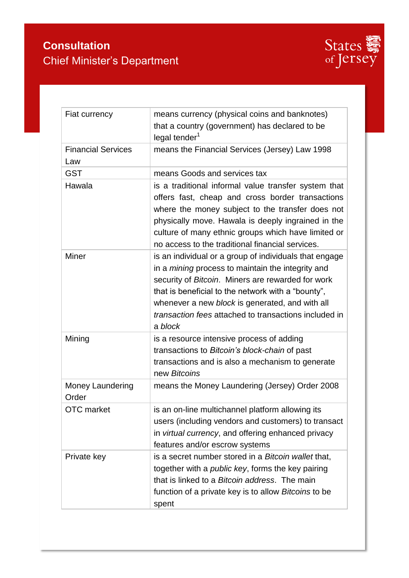

| Fiat currency                    | means currency (physical coins and banknotes)<br>that a country (government) has declared to be<br>legal tender <sup>1</sup>                                                                                                                                                                                                                         |
|----------------------------------|------------------------------------------------------------------------------------------------------------------------------------------------------------------------------------------------------------------------------------------------------------------------------------------------------------------------------------------------------|
| <b>Financial Services</b><br>Law | means the Financial Services (Jersey) Law 1998                                                                                                                                                                                                                                                                                                       |
| <b>GST</b>                       | means Goods and services tax                                                                                                                                                                                                                                                                                                                         |
| Hawala                           | is a traditional informal value transfer system that<br>offers fast, cheap and cross border transactions<br>where the money subject to the transfer does not<br>physically move. Hawala is deeply ingrained in the<br>culture of many ethnic groups which have limited or<br>no access to the traditional financial services.                        |
| <b>Miner</b>                     | is an individual or a group of individuals that engage<br>in a <i>mining</i> process to maintain the integrity and<br>security of Bitcoin. Miners are rewarded for work<br>that is beneficial to the network with a "bounty",<br>whenever a new block is generated, and with all<br>transaction fees attached to transactions included in<br>a block |
| Mining                           | is a resource intensive process of adding<br>transactions to Bitcoin's block-chain of past<br>transactions and is also a mechanism to generate<br>new Bitcoins                                                                                                                                                                                       |
| <b>Money Laundering</b><br>Order | means the Money Laundering (Jersey) Order 2008                                                                                                                                                                                                                                                                                                       |
| <b>OTC</b> market                | is an on-line multichannel platform allowing its<br>users (including vendors and customers) to transact<br>in virtual currency, and offering enhanced privacy<br>features and/or escrow systems                                                                                                                                                      |
| Private key                      | is a secret number stored in a Bitcoin wallet that,<br>together with a <i>public key</i> , forms the key pairing<br>that is linked to a Bitcoin address. The main<br>function of a private key is to allow Bitcoins to be<br>spent                                                                                                                   |